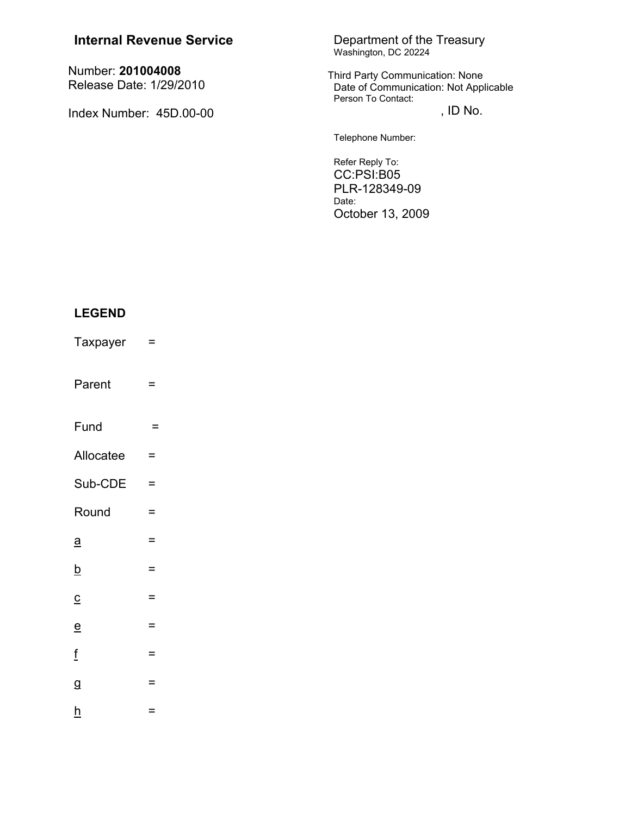| <b>Internal Revenue Service</b>              | Department of the Treasury<br>Washington, DC 20224<br>Third Party Communication: None<br>Date of Communication: Not Applicable<br>Person To Contact: |  |
|----------------------------------------------|------------------------------------------------------------------------------------------------------------------------------------------------------|--|
| Number: 201004008<br>Release Date: 1/29/2010 |                                                                                                                                                      |  |
| Index Number: 45D.00-00                      | , ID No.                                                                                                                                             |  |
|                                              | Telephone Number:                                                                                                                                    |  |
|                                              | Refer Reply To:<br>CC:PSI:B05<br>PLR-128349-09<br>n ____                                                                                             |  |

## Date: October 13, 2009

# **LEGEND**

- Taxpayer  $\equiv$
- Parent  $\equiv$
- Fund  $\equiv$
- Allocatee  $\equiv$
- Sub-CDE  $\equiv$
- Round  $\equiv$
- $\underline{a}$  $\equiv$
- $\underline{\mathsf{b}}$  $\equiv$
- $\equiv$  $\underline{\mathbf{C}}$
- $\equiv$
- $\mathbf{e}$
- $\underline{\mathbf{f}}$  $\equiv$
- $\overline{g}$  $\equiv$
- $\underline{h}$ 
	- $\equiv$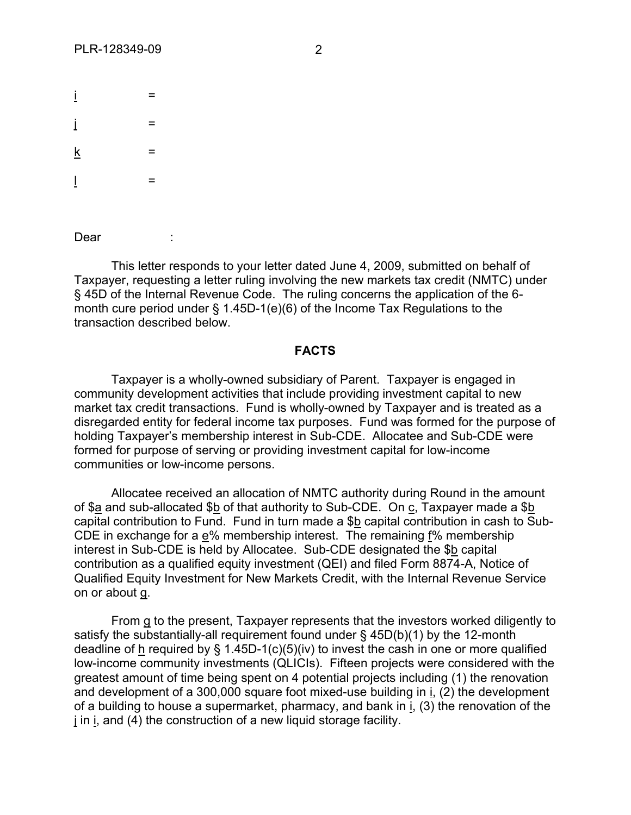| İ               | $=$ |  |
|-----------------|-----|--|
| İ               | $=$ |  |
| $\underline{k}$ | $=$ |  |
| $\overline{1}$  | $=$ |  |

Dear :

This letter responds to your letter dated June 4, 2009, submitted on behalf of Taxpayer, requesting a letter ruling involving the new markets tax credit (NMTC) under § 45D of the Internal Revenue Code. The ruling concerns the application of the 6 month cure period under § 1.45D-1(e)(6) of the Income Tax Regulations to the transaction described below.

### **FACTS**

Taxpayer is a wholly-owned subsidiary of Parent. Taxpayer is engaged in community development activities that include providing investment capital to new market tax credit transactions. Fund is wholly-owned by Taxpayer and is treated as a disregarded entity for federal income tax purposes. Fund was formed for the purpose of holding Taxpayer's membership interest in Sub-CDE. Allocatee and Sub-CDE were formed for purpose of serving or providing investment capital for low-income communities or low-income persons.

Allocatee received an allocation of NMTC authority during Round in the amount of \$a and sub-allocated \$b of that authority to Sub-CDE. On c, Taxpayer made a \$b capital contribution to Fund. Fund in turn made a \$b capital contribution in cash to Sub-CDE in exchange for a e% membership interest. The remaining f% membership interest in Sub-CDE is held by Allocatee. Sub-CDE designated the \$b capital contribution as a qualified equity investment (QEI) and filed Form 8874-A, Notice of Qualified Equity Investment for New Markets Credit, with the Internal Revenue Service on or about g.

From g to the present, Taxpayer represents that the investors worked diligently to satisfy the substantially-all requirement found under § 45D(b)(1) by the 12-month deadline of h required by  $\S$  1.45D-1(c)(5)(iv) to invest the cash in one or more qualified low-income community investments (QLICIs). Fifteen projects were considered with the greatest amount of time being spent on 4 potential projects including (1) the renovation and development of a 300,000 square foot mixed-use building in i, (2) the development of a building to house a supermarket, pharmacy, and bank in i, (3) the renovation of the j in i, and (4) the construction of a new liquid storage facility.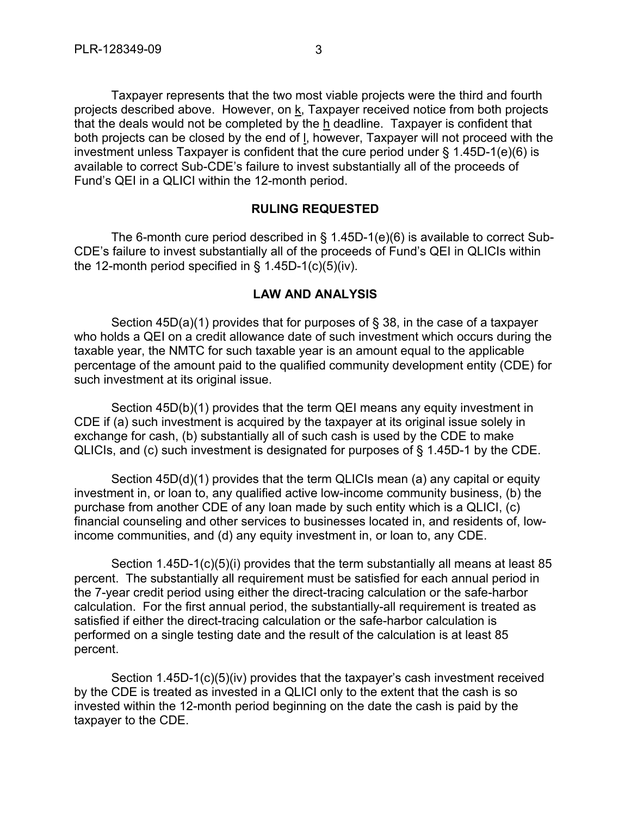Taxpayer represents that the two most viable projects were the third and fourth projects described above. However, on k, Taxpayer received notice from both projects that the deals would not be completed by the  $h$  deadline. Taxpayer is confident that both projects can be closed by the end of l, however, Taxpayer will not proceed with the investment unless Taxpayer is confident that the cure period under  $\S$  1.45D-1(e)(6) is available to correct Sub-CDE's failure to invest substantially all of the proceeds of Fund's QEI in a QLICI within the 12-month period.

#### **RULING REQUESTED**

The 6-month cure period described in § 1.45D-1(e)(6) is available to correct Sub-CDE's failure to invest substantially all of the proceeds of Fund's QEI in QLICIs within the 12-month period specified in  $\S$  1.45D-1(c)(5)(iv).

#### **LAW AND ANALYSIS**

Section 45D(a)(1) provides that for purposes of § 38, in the case of a taxpayer who holds a QEI on a credit allowance date of such investment which occurs during the taxable year, the NMTC for such taxable year is an amount equal to the applicable percentage of the amount paid to the qualified community development entity (CDE) for such investment at its original issue.

Section 45D(b)(1) provides that the term QEI means any equity investment in CDE if (a) such investment is acquired by the taxpayer at its original issue solely in exchange for cash, (b) substantially all of such cash is used by the CDE to make QLICIs, and (c) such investment is designated for purposes of § 1.45D-1 by the CDE.

Section 45D(d)(1) provides that the term QLICIs mean (a) any capital or equity investment in, or loan to, any qualified active low-income community business, (b) the purchase from another CDE of any loan made by such entity which is a QLICI, (c) financial counseling and other services to businesses located in, and residents of, lowincome communities, and (d) any equity investment in, or loan to, any CDE.

Section 1.45D-1(c)(5)(i) provides that the term substantially all means at least 85 percent. The substantially all requirement must be satisfied for each annual period in the 7-year credit period using either the direct-tracing calculation or the safe-harbor calculation. For the first annual period, the substantially-all requirement is treated as satisfied if either the direct-tracing calculation or the safe-harbor calculation is performed on a single testing date and the result of the calculation is at least 85 percent.

Section 1.45D-1(c)(5)(iv) provides that the taxpayer's cash investment received by the CDE is treated as invested in a QLICI only to the extent that the cash is so invested within the 12-month period beginning on the date the cash is paid by the taxpayer to the CDE.